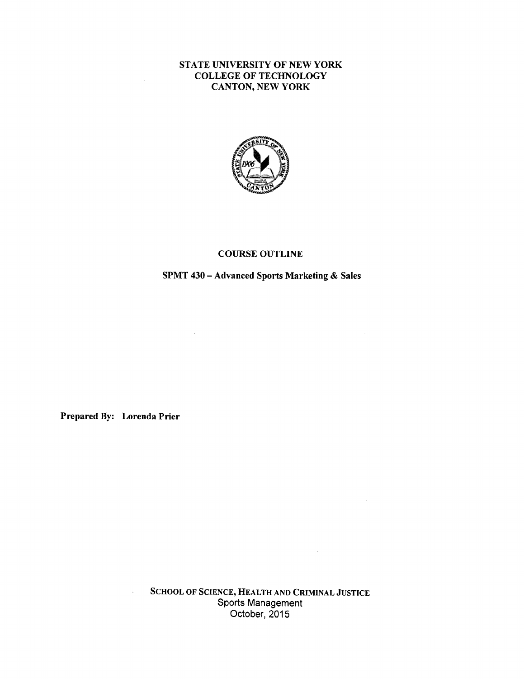#### STATE UNIVERSITY OF NEW YORK COLLEGE OF TECHNOLOGY CANTON, NEW YORK



#### COURSE OUTLINE

### SPMT 430 - Advanced Sports Marketing & Sales

 $\sim$   $\sim$ 

 $\sim$ 

Prepared By: Lorenda Prier

 $\bar{\lambda}$ 

 $\tilde{\mathcal{A}}$ 

**SCHOOL OF SCIENCE, HEALTH AND CRIMINAL JUSTICE**  Sports Management October, 2015

 $\sim$   $\sim$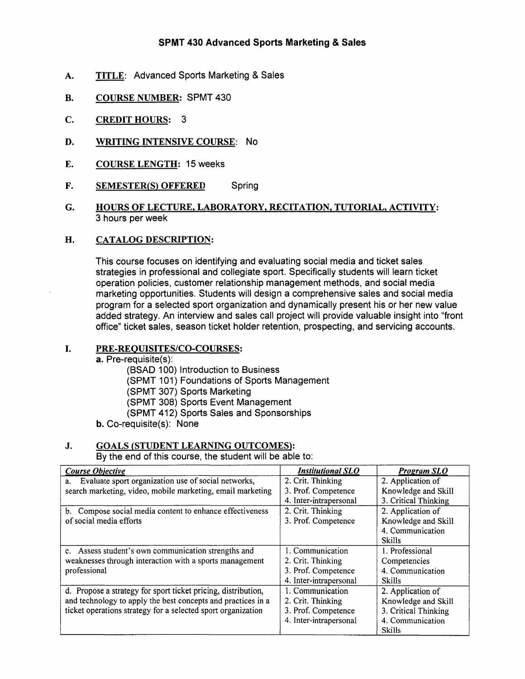### SPMT 430 Advanced Sports Marketing & Sales

- A. TITLE: Advanced Sports Marketing & Sales
- **B. COURSE NUMBER:** SPMT 430
- **C. CREDIT HOURS:** 3
- **D. WRITING INTENSIVE COURSE: No**
- **E. COURSE LENGTH:** 15 weeks
- **F. SEMESTER(S) OFFERED** Spring
- **G. HOURS OF LECTURE, LABORATORY, RECITATION, TUTORIAL, ACTIVITY:**  3 hours per week

#### **H. CATALOG DESCRIPTION:**

This course focuses on identifying and evaluating social media and ticket sales strategies in professional and collegiate sport. Specifically students will learn ticket operation policies, customer relationship management methods, and social media marketing opportunities. Students will design a comprehensive sales and social media program for a selected sport organization and dynamically present his or her new value added strategy. An interview and sales call project will provide valuable insight into "front office" ticket sales, season ticket holder retention, prospecting, and servicing accounts.

#### I. **PRE-REQUISITES/CO-COURSES:**

- **a.** Pre-requisite(s):
	- (BSAD 100) Introduction to Business

(SPMT 101) Foundations of Sports Management

(SPMT 307) Sports Marketing

(SPMT 308) Sports Event Management

(SPMT 412) Sports Sales and Sponsorships

b. Co-requisite(s): None

#### **J. GOALS (STUDENT LEARNING OUTCOMES):**

By the end of this course, the student will be able to:

| <b>Course Objective</b>                                       | <b>Institutional SLO</b> | <b>Program SLO</b>   |
|---------------------------------------------------------------|--------------------------|----------------------|
| Evaluate sport organization use of social networks,<br>a.     | 2. Crit. Thinking        | 2. Application of    |
| search marketing, video, mobile marketing, email marketing    | 3. Prof. Competence      | Knowledge and Skill  |
|                                                               | 4. Inter-intrapersonal   | 3. Critical Thinking |
| b. Compose social media content to enhance effectiveness      | 2. Crit. Thinking        | 2. Application of    |
| of social media efforts                                       | 3. Prof. Competence      | Knowledge and Skill  |
|                                                               |                          | 4. Communication     |
|                                                               |                          | <b>Skills</b>        |
| c. Assess student's own communication strengths and           | 1. Communication         | 1. Professional      |
| weaknesses through interaction with a sports management       | 2. Crit. Thinking        | Competencies         |
| professional                                                  | 3. Prof. Competence      | 4. Communication     |
|                                                               | 4. Inter-intrapersonal   | Skills               |
| d. Propose a strategy for sport ticket pricing, distribution, | 1. Communication         | 2. Application of    |
| and technology to apply the best concepts and practices in a  | 2. Crit. Thinking        | Knowledge and Skill  |
| ticket operations strategy for a selected sport organization  | 3. Prof. Competence      | 3. Critical Thinking |
|                                                               | 4. Inter-intrapersonal   | 4. Communication     |
|                                                               |                          | <b>Skills</b>        |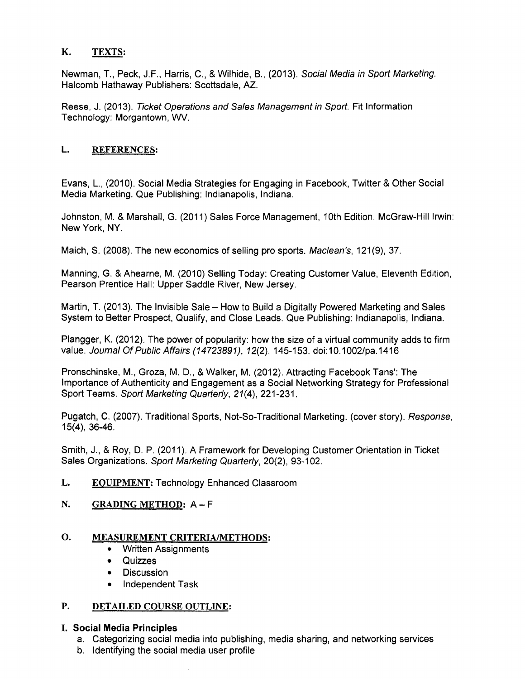## **K. TEXTS:**

Newman, T., Peck, J.F., Harris, C., & Wilhide, B., (2013). Social Media in Sport Marketing. Halcomb Hathaway Publishers: Scottsdale, AZ.

Reese, J. (2013). Ticket Operations and Sales Management in Sport. Fit Information Technology: Morgantown, WV.

## **L. REFERENCES:**

Evans, L., (2010). Social Media Strategies for Engaging in Facebook, Twitter & Other Social Media Marketing. Que Publishing: Indianapolis, Indiana.

Johnston, M. & Marshall, G. (2011) Sales Force Management, 10th Edition. McGraw-Hill Irwin: New York, NY.

Maich, S. (2008). The new economics of selling pro sports. Maclean's, 121(9), 37.

Manning, G. & Ahearne, M. (2010) Selling Today: Creating Customer Value, Eleventh Edition, Pearson Prentice Hall: Upper Saddle River, New Jersey.

Martin, T. (2013). The Invisible Sale - How to Build a Digitally Powered Marketing and Sales System to Better Prospect, Qualify, and Close Leads. Que Publishing: Indianapolis, Indiana.

Plangger, K. (2012). The power of popularity: how the size of a virtual community adds to firm value. Journal Of Public Affairs (14723891), 12(2), 145-153. doi:10.1002/pa.1416

Pronschinske, M., Groza, M. D., & Walker, M. (2012). Attracting Facebook Tans': The Importance of Authenticity and Engagement as a Social Networking Strategy for Professional Sport Teams. Sport Marketing Quarterly, 21(4), 221-231.

Pugatch, C. (2007). Traditional Sports, Not-So-Traditional Marketing. (cover story). Response, 15(4), 36-46.

Smith, J., & Roy, D. P. (2011 ). A Framework for Developing Customer Orientation in Ticket Sales Organizations. Sport Marketing Quarterly, 20(2), 93-102.

**L. EQUIPMENT:** Technology Enhanced Classroom

# N. GRADING METHOD: A - F

### **0. MEASUREMENT CRITERIA/METHODS:**

- Written Assignments
- Quizzes
- Discussion
- Independent Task

### **P. DETAILED COURSE OUTLINE:**

### I. **Social Media Principles**

- a. Categorizing social media into publishing, media sharing, and networking services
- b. Identifying the social media user profile